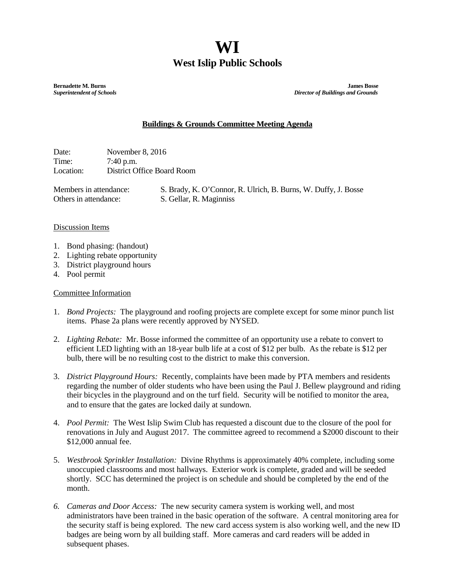## **WI West Islip Public Schools**

**Bernadette M. Burns James Bosse**<br> **Burns Bosse Superintendent of Schools**<br> **Burns Bosse Superintendent of Schools** *Superintendent of Schools**Director of Buildings and Grounds*

## **Buildings & Grounds Committee Meeting Agenda**

Date: November 8, 2016 Time: 7:40 p.m. Location: District Office Board Room

Members in attendance: S. Brady, K. O'Connor, R. Ulrich, B. Burns, W. Duffy, J. Bosse Others in attendance: S. Gellar, R. Maginniss

## Discussion Items

- 1. Bond phasing: (handout)
- 2. Lighting rebate opportunity
- 3. District playground hours
- 4. Pool permit

## Committee Information

- 1. *Bond Projects:* The playground and roofing projects are complete except for some minor punch list items. Phase 2a plans were recently approved by NYSED.
- 2. *Lighting Rebate:* Mr. Bosse informed the committee of an opportunity use a rebate to convert to efficient LED lighting with an 18-year bulb life at a cost of \$12 per bulb. As the rebate is \$12 per bulb, there will be no resulting cost to the district to make this conversion.
- 3. *District Playground Hours:* Recently, complaints have been made by PTA members and residents regarding the number of older students who have been using the Paul J. Bellew playground and riding their bicycles in the playground and on the turf field. Security will be notified to monitor the area, and to ensure that the gates are locked daily at sundown.
- 4. *Pool Permit:* The West Islip Swim Club has requested a discount due to the closure of the pool for renovations in July and August 2017. The committee agreed to recommend a \$2000 discount to their \$12,000 annual fee.
- 5. *Westbrook Sprinkler Installation:* Divine Rhythms is approximately 40% complete, including some unoccupied classrooms and most hallways. Exterior work is complete, graded and will be seeded shortly. SCC has determined the project is on schedule and should be completed by the end of the month.
- *6. Cameras and Door Access:* The new security camera system is working well, and most administrators have been trained in the basic operation of the software. A central monitoring area for the security staff is being explored. The new card access system is also working well, and the new ID badges are being worn by all building staff. More cameras and card readers will be added in subsequent phases.